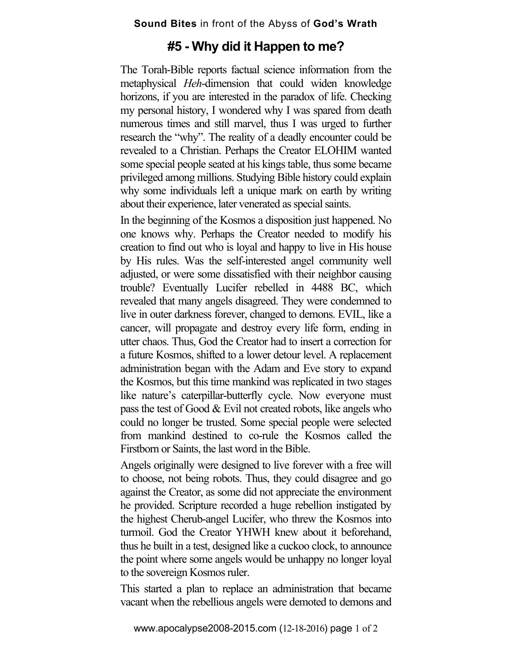## **#5 - Why did it Happen to me?**

The Torah-Bible reports factual science information from the metaphysical *Heh*-dimension that could widen knowledge horizons, if you are interested in the paradox of life. Checking my personal history, I wondered why I was spared from death numerous times and still marvel, thus I was urged to further research the "why". The reality of a deadly encounter could be revealed to a Christian. Perhaps the Creator ELOHIM wanted some special people seated at his kings table, thus some became privileged among millions. Studying Bible history could explain why some individuals left a unique mark on earth by writing about their experience, later venerated as special saints.

In the beginning of the Kosmos a disposition just happened. No one knows why. Perhaps the Creator needed to modify his creation to find out who is loyal and happy to live in His house by His rules. Was the self-interested angel community well adjusted, or were some dissatisfied with their neighbor causing trouble? Eventually Lucifer rebelled in 4488 BC, which revealed that many angels disagreed. They were condemned to live in outer darkness forever, changed to demons. EVIL, like a cancer, will propagate and destroy every life form, ending in utter chaos. Thus, God the Creator had to insert a correction for a future Kosmos, shifted to a lower detour level. A replacement administration began with the Adam and Eve story to expand the Kosmos, but this time mankind was replicated in two stages like nature's caterpillar-butterfly cycle. Now everyone must pass the test of Good & Evil not created robots, like angels who could no longer be trusted. Some special people were selected from mankind destined to co-rule the Kosmos called the Firstborn or Saints, the last word in the Bible.

Angels originally were designed to live forever with a free will to choose, not being robots. Thus, they could disagree and go against the Creator, as some did not appreciate the environment he provided. Scripture recorded a huge rebellion instigated by the highest Cherub-angel Lucifer, who threw the Kosmos into turmoil. God the Creator YHWH knew about it beforehand, thus he built in a test, designed like a cuckoo clock, to announce the point where some angels would be unhappy no longer loyal to the sovereign Kosmos ruler.

This started a plan to replace an administration that became vacant when the rebellious angels were demoted to demons and